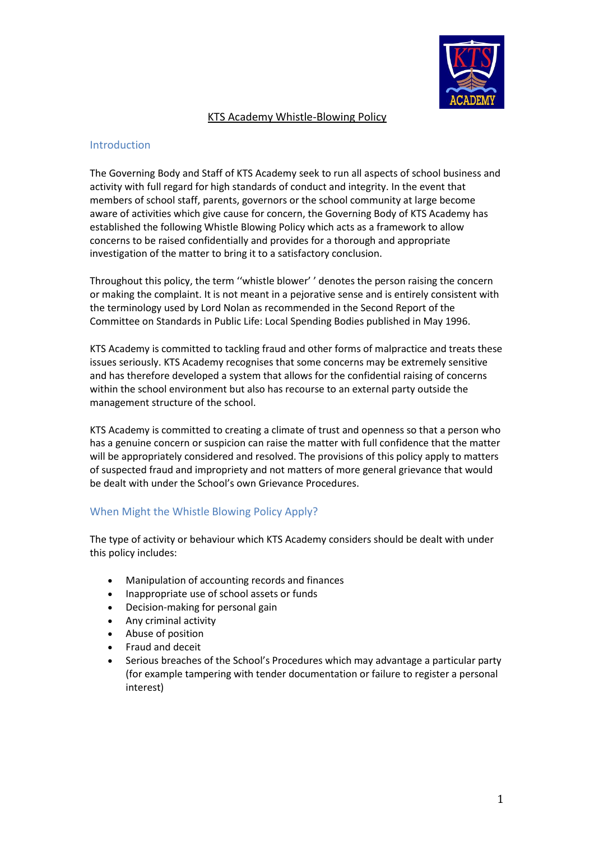

## KTS Academy Whistle-Blowing Policy

## Introduction

The Governing Body and Staff of KTS Academy seek to run all aspects of school business and activity with full regard for high standards of conduct and integrity. In the event that members of school staff, parents, governors or the school community at large become aware of activities which give cause for concern, the Governing Body of KTS Academy has established the following Whistle Blowing Policy which acts as a framework to allow concerns to be raised confidentially and provides for a thorough and appropriate investigation of the matter to bring it to a satisfactory conclusion.

Throughout this policy, the term ''whistle blower' ' denotes the person raising the concern or making the complaint. It is not meant in a pejorative sense and is entirely consistent with the terminology used by Lord Nolan as recommended in the Second Report of the Committee on Standards in Public Life: Local Spending Bodies published in May 1996.

KTS Academy is committed to tackling fraud and other forms of malpractice and treats these issues seriously. KTS Academy recognises that some concerns may be extremely sensitive and has therefore developed a system that allows for the confidential raising of concerns within the school environment but also has recourse to an external party outside the management structure of the school.

KTS Academy is committed to creating a climate of trust and openness so that a person who has a genuine concern or suspicion can raise the matter with full confidence that the matter will be appropriately considered and resolved. The provisions of this policy apply to matters of suspected fraud and impropriety and not matters of more general grievance that would be dealt with under the School's own Grievance Procedures.

## When Might the Whistle Blowing Policy Apply?

The type of activity or behaviour which KTS Academy considers should be dealt with under this policy includes:

- Manipulation of accounting records and finances
- Inappropriate use of school assets or funds
- Decision-making for personal gain
- Any criminal activity
- Abuse of position
- Fraud and deceit
- Serious breaches of the School's Procedures which may advantage a particular party (for example tampering with tender documentation or failure to register a personal interest)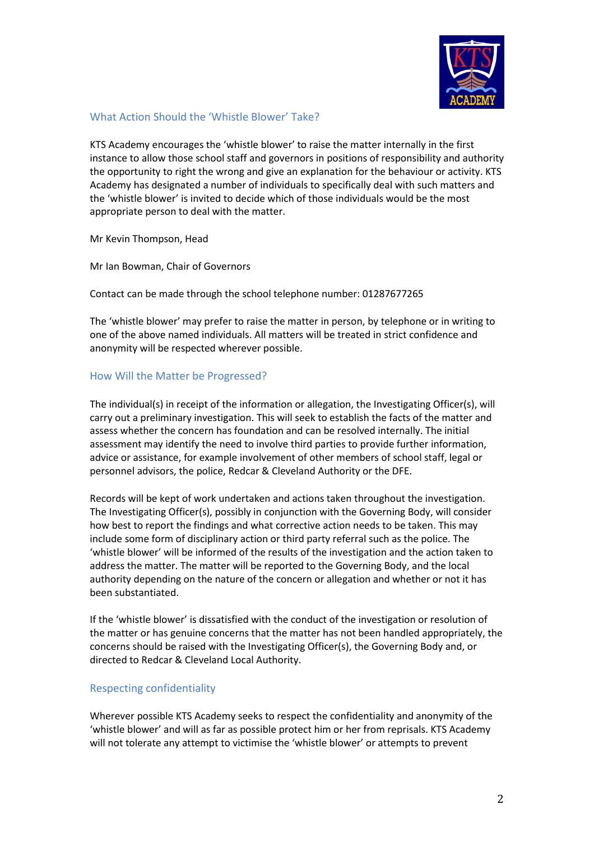

# What Action Should the 'Whistle Blower' Take?

KTS Academy encourages the 'whistle blower' to raise the matter internally in the first instance to allow those school staff and governors in positions of responsibility and authority the opportunity to right the wrong and give an explanation for the behaviour or activity. KTS Academy has designated a number of individuals to specifically deal with such matters and the 'whistle blower' is invited to decide which of those individuals would be the most appropriate person to deal with the matter.

Mr Kevin Thompson, Head

Mr Ian Bowman, Chair of Governors

Contact can be made through the school telephone number: 01287677265

The 'whistle blower' may prefer to raise the matter in person, by telephone or in writing to one of the above named individuals. All matters will be treated in strict confidence and anonymity will be respected wherever possible.

## How Will the Matter be Progressed?

The individual(s) in receipt of the information or allegation, the Investigating Officer(s), will carry out a preliminary investigation. This will seek to establish the facts of the matter and assess whether the concern has foundation and can be resolved internally. The initial assessment may identify the need to involve third parties to provide further information, advice or assistance, for example involvement of other members of school staff, legal or personnel advisors, the police, Redcar & Cleveland Authority or the DFE.

Records will be kept of work undertaken and actions taken throughout the investigation. The Investigating Officer(s), possibly in conjunction with the Governing Body, will consider how best to report the findings and what corrective action needs to be taken. This may include some form of disciplinary action or third party referral such as the police. The 'whistle blower' will be informed of the results of the investigation and the action taken to address the matter. The matter will be reported to the Governing Body, and the local authority depending on the nature of the concern or allegation and whether or not it has been substantiated.

If the 'whistle blower' is dissatisfied with the conduct of the investigation or resolution of the matter or has genuine concerns that the matter has not been handled appropriately, the concerns should be raised with the Investigating Officer(s), the Governing Body and, or directed to Redcar & Cleveland Local Authority.

## Respecting confidentiality

Wherever possible KTS Academy seeks to respect the confidentiality and anonymity of the 'whistle blower' and will as far as possible protect him or her from reprisals. KTS Academy will not tolerate any attempt to victimise the 'whistle blower' or attempts to prevent